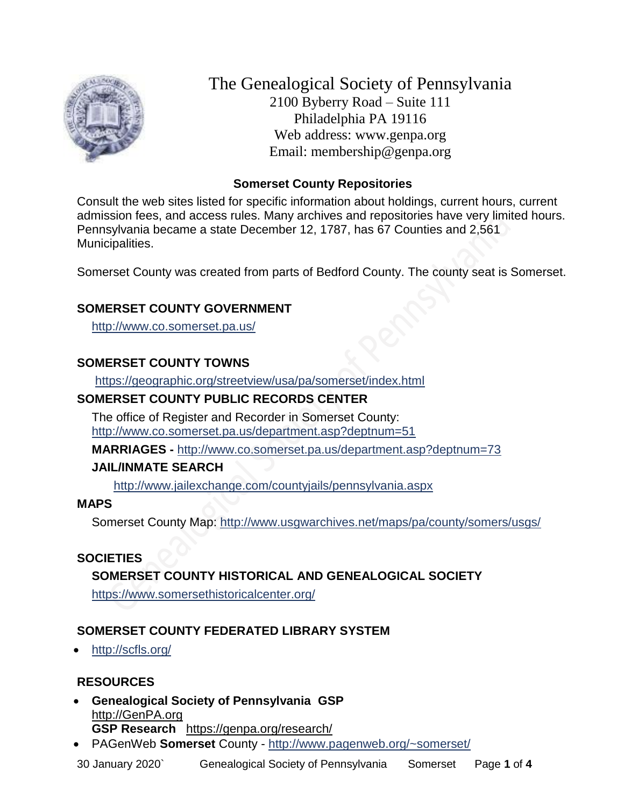

The Genealogical Society of Pennsylvania 2100 Byberry Road – Suite 111 Philadelphia PA 19116 Web address: www.genpa.org Email: membership@genpa.org

## **Somerset County Repositories**

Consult the web sites listed for specific information about holdings, current hours, current admission fees, and access rules. Many archives and repositories have very limited hours. Pennsylvania became a state December 12, 1787, has 67 Counties and 2,561 Municipalities.

Somerset County was created from parts of Bedford County. The county seat is Somerset.

# **SOMERSET COUNTY GOVERNMENT**

<http://www.co.somerset.pa.us/>

# **SOMERSET COUNTY TOWNS**

<https://geographic.org/streetview/usa/pa/somerset/index.html>

# **SOMERSET COUNTY PUBLIC RECORDS CENTER**

The office of Register and Recorder in Somerset County: <http://www.co.somerset.pa.us/department.asp?deptnum=51>

**MARRIAGES -** <http://www.co.somerset.pa.us/department.asp?deptnum=73>

## **JAIL/INMATE SEARCH**

<http://www.jailexchange.com/countyjails/pennsylvania.aspx>

## **MAPS**

Somerset County Map:<http://www.usgwarchives.net/maps/pa/county/somers/usgs/>

## **SOCIETIES**

# **SOMERSET COUNTY HISTORICAL AND GENEALOGICAL SOCIETY**

<https://www.somersethistoricalcenter.org/>

## **SOMERSET COUNTY FEDERATED LIBRARY SYSTEM**

• <http://scfls.org/>

## **RESOURCES**

- **Genealogical Society of Pennsylvania GSP** [http://GenPA.org](http://genpa.org/) **GSP Research** <https://genpa.org/research/>
- PAGenWeb **Somerset** County <http://www.pagenweb.org/~somerset/>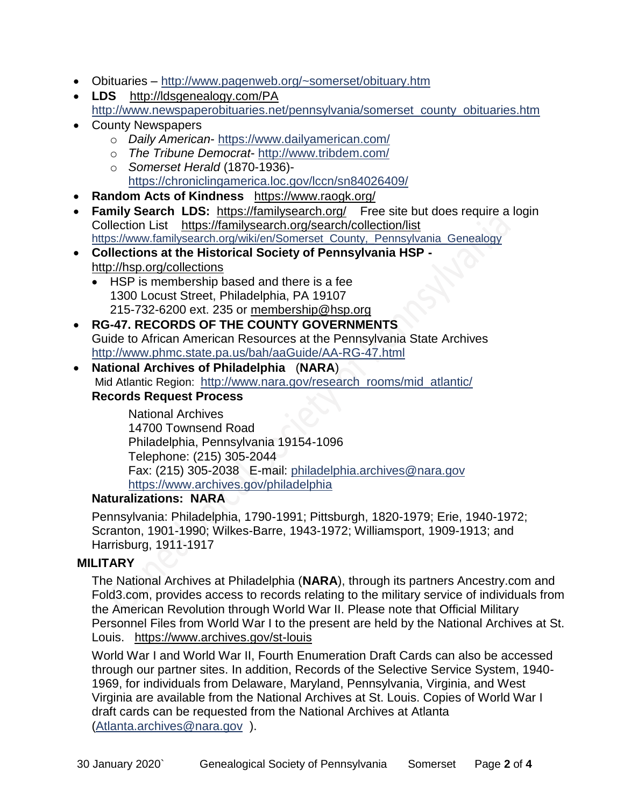- Obituaries <http://www.pagenweb.org/~somerset/obituary.htm>
- **LDS** <http://ldsgenealogy.com/PA> [http://www.newspaperobituaries.net/pennsylvania/somerset\\_county\\_obituaries.htm](http://www.newspaperobituaries.net/pennsylvania/somerset_county_obituaries.htm)
- County Newspapers
	- o *Daily American* <https://www.dailyamerican.com/>
	- o *The Tribune Democrat* <http://www.tribdem.com/>
	- o *Somerset Herald* (1870-1936) <https://chroniclingamerica.loc.gov/lccn/sn84026409/>
- **Random Acts of Kindness** <https://www.raogk.org/>
- **Family Search LDS:** <https://familysearch.org/>Free site but does require a login Collection List <https://familysearch.org/search/collection/list> [https://www.familysearch.org/wiki/en/Somerset\\_County,\\_Pennsylvania\\_Genealogy](https://www.familysearch.org/wiki/en/Somerset_County,_Pennsylvania_Genealogy)
- **Collections at the Historical Society of Pennsylvania HSP**  <http://hsp.org/collections>
	- HSP is membership based and there is a fee 1300 Locust Street, Philadelphia, PA 19107 215-732-6200 ext. 235 or [membership@hsp.org](mailto:membership@hsp.org)
- **RG-47. RECORDS OF THE COUNTY GOVERNMENTS** Guide to African American Resources at the Pennsylvania State Archives <http://www.phmc.state.pa.us/bah/aaGuide/AA-RG-47.html>
- **National Archives of Philadelphia** (**NARA**) Mid Atlantic Region: [http://www.nara.gov/research\\_rooms/mid\\_atlantic/](http://www.nara.gov/research_rooms/mid_atlantic/) **Records Request Process**

National Archives 14700 Townsend Road Philadelphia, Pennsylvania 19154-1096 Telephone: (215) 305-2044 Fax: (215) 305-2038 E-mail: [philadelphia.archives@nara.gov](mailto:philadelphia.archives@nara.gov) <https://www.archives.gov/philadelphia>

#### **Naturalizations: NARA**

Pennsylvania: Philadelphia, 1790-1991; Pittsburgh, 1820-1979; Erie, 1940-1972; Scranton, 1901-1990; Wilkes-Barre, 1943-1972; Williamsport, 1909-1913; and Harrisburg, 1911-1917

## **MILITARY**

The National Archives at Philadelphia (**NARA**), through its partners Ancestry.com and Fold3.com, provides access to records relating to the military service of individuals from the American Revolution through World War II. Please note that Official Military Personnel Files from World War I to the present are held by the National Archives at St. Louis. <https://www.archives.gov/st-louis>

World War I and World War II, Fourth Enumeration Draft Cards can also be accessed through our partner sites. In addition, Records of the Selective Service System, 1940- 1969, for individuals from Delaware, Maryland, Pennsylvania, Virginia, and West Virginia are available from the National Archives at St. Louis. Copies of World War I draft cards can be requested from the National Archives at Atlanta [\(Atlanta.archives@nara.gov](mailto:Atlanta.archives@nara.gov) ).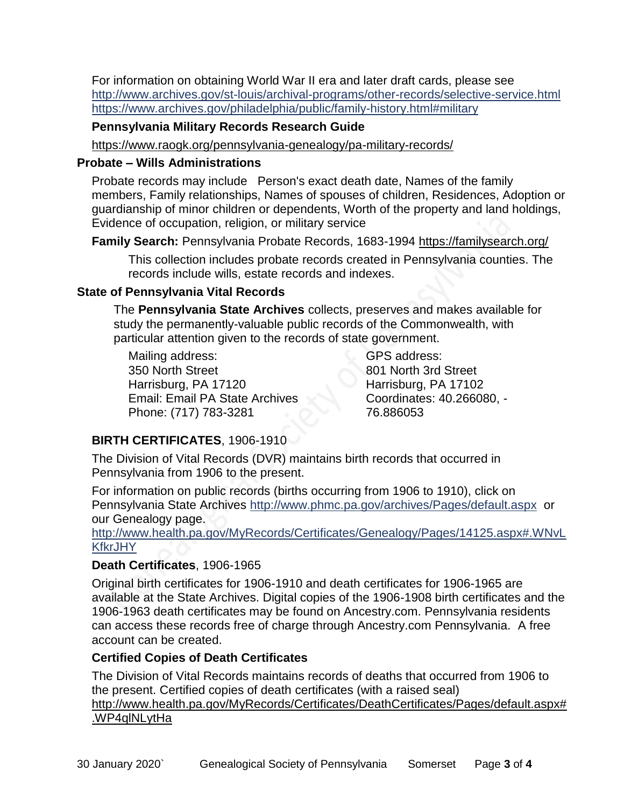For information on obtaining World War II era and later draft cards, please see <http://www.archives.gov/st-louis/archival-programs/other-records/selective-service.html> <https://www.archives.gov/philadelphia/public/family-history.html#military>

## **Pennsylvania Military Records Research Guide**

<https://www.raogk.org/pennsylvania-genealogy/pa-military-records/>

#### **Probate – Wills Administrations**

Probate records may include Person's exact death date, Names of the family members, Family relationships, Names of spouses of children, Residences, Adoption or guardianship of minor children or dependents, Worth of the property and land holdings, Evidence of occupation, religion, or military service

**Family Search:** Pennsylvania Probate Records, 1683-1994 <https://familysearch.org/>

This collection includes probate records created in Pennsylvania counties. The records include wills, estate records and indexes.

## **State of Pennsylvania Vital Records**

The **Pennsylvania State Archives** collects, preserves and makes available for study the permanently-valuable public records of the Commonwealth, with particular attention given to the records of state government.

Mailing address: 350 North Street Harrisburg, PA 17120 Email: Email PA State Archives Phone: (717) 783-3281

GPS address: 801 North 3rd Street Harrisburg, PA 17102 Coordinates: 40.266080, - 76.886053

# **BIRTH CERTIFICATES**, 1906-1910

The Division of Vital Records (DVR) maintains birth records that occurred in Pennsylvania from 1906 to the present.

For information on public records (births occurring from 1906 to 1910), click on Pennsylvania State Archives <http://www.phmc.pa.gov/archives/Pages/default.aspx>or our Genealogy page.

[http://www.health.pa.gov/MyRecords/Certificates/Genealogy/Pages/14125.aspx#.WNvL](http://www.health.pa.gov/MyRecords/Certificates/Genealogy/Pages/14125.aspx#.WNvLKfkrJHY) **[KfkrJHY](http://www.health.pa.gov/MyRecords/Certificates/Genealogy/Pages/14125.aspx#.WNvLKfkrJHY)** 

## **Death Certificates**, 1906-1965

Original birth certificates for 1906-1910 and death certificates for 1906-1965 are available at the State Archives. Digital copies of the 1906-1908 birth certificates and the 1906-1963 death certificates may be found on Ancestry.com. Pennsylvania residents can access these records free of charge through Ancestry.com Pennsylvania. A free account can be created.

## **Certified Copies of Death Certificates**

The Division of Vital Records maintains records of deaths that occurred from 1906 to the present. Certified copies of death certificates (with a raised seal) http://www.health.pa.gov/MyRecords/Certificates/DeathCertificates/Pages/default.aspx# .WP4qlNLytHa